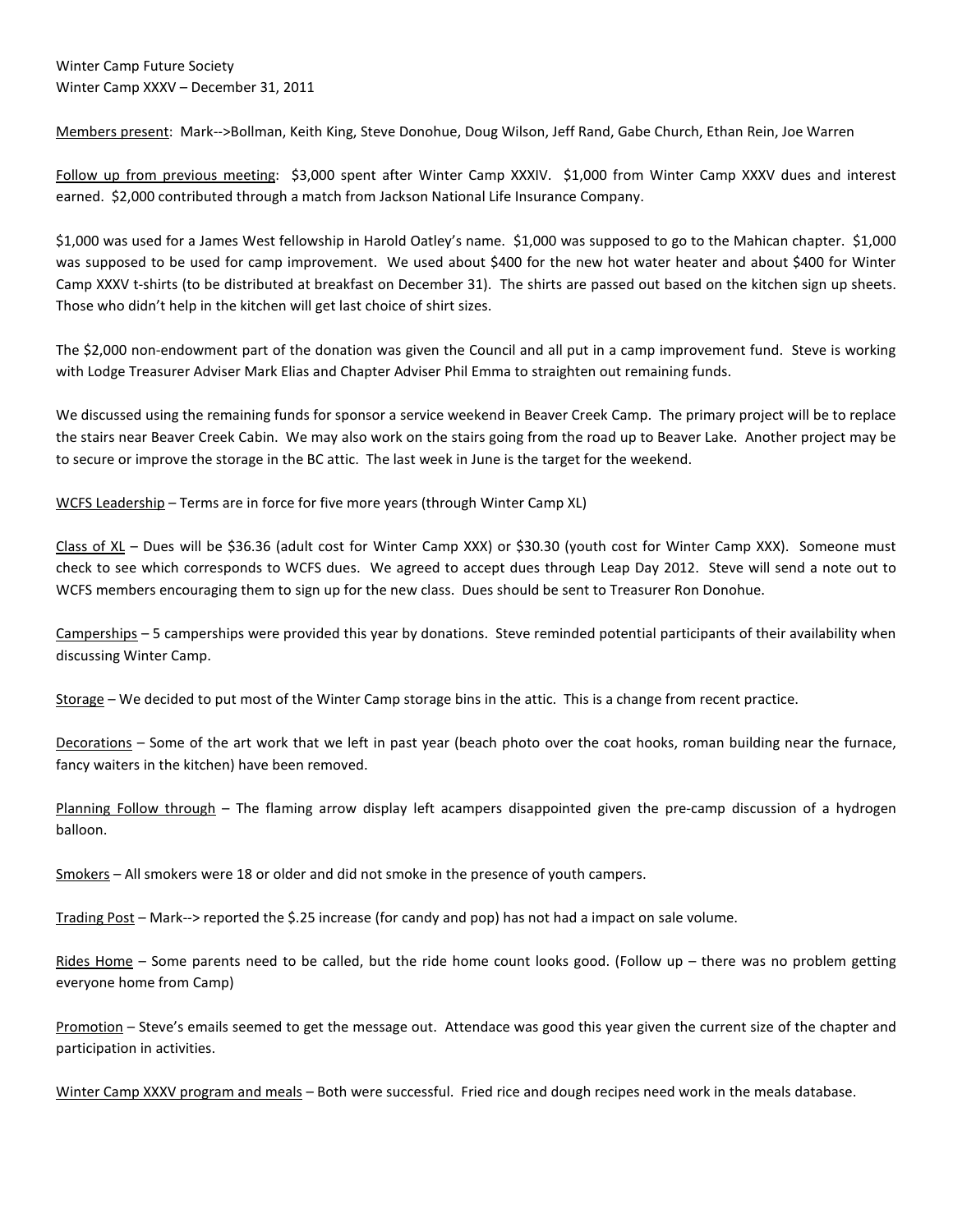Members present: Mark-->Bollman, Keith King, Steve Donohue, Doug Wilson, Jeff Rand, Gabe Church, Ethan Rein, Joe Warren

Follow up from previous meeting: \$3,000 spent after Winter Camp XXXIV. \$1,000 from Winter Camp XXXV dues and interest earned. \$2,000 contributed through a match from Jackson National Life Insurance Company.

\$1,000 was used for a James West fellowship in Harold Oatley's name. \$1,000 was supposed to go to the Mahican chapter. \$1,000 was supposed to be used for camp improvement. We used about \$400 for the new hot water heater and about \$400 for Winter Camp XXXV t-shirts (to be distributed at breakfast on December 31). The shirts are passed out based on the kitchen sign up sheets. Those who didn't help in the kitchen will get last choice of shirt sizes.

The \$2,000 non-endowment part of the donation was given the Council and all put in a camp improvement fund. Steve is working with Lodge Treasurer Adviser Mark Elias and Chapter Adviser Phil Emma to straighten out remaining funds.

We discussed using the remaining funds for sponsor a service weekend in Beaver Creek Camp. The primary project will be to replace the stairs near Beaver Creek Cabin. We may also work on the stairs going from the road up to Beaver Lake. Another project may be to secure or improve the storage in the BC attic. The last week in June is the target for the weekend.

WCFS Leadership – Terms are in force for five more years (through Winter Camp XL)

Class of XL - Dues will be \$36.36 (adult cost for Winter Camp XXX) or \$30.30 (youth cost for Winter Camp XXX). Someone must check to see which corresponds to WCFS dues. We agreed to accept dues through Leap Day 2012. Steve will send a note out to WCFS members encouraging them to sign up for the new class. Dues should be sent to Treasurer Ron Donohue.

Camperships – 5 camperships were provided this year by donations. Steve reminded potential participants of their availability when discussing Winter Camp.

Storage – We decided to put most of the Winter Camp storage bins in the attic. This is a change from recent practice.

Decorations – Some of the art work that we left in past year (beach photo over the coat hooks, roman building near the furnace, fancy waiters in the kitchen) have been removed.

Planning Follow through – The flaming arrow display left acampers disappointed given the pre-camp discussion of a hydrogen balloon.

Smokers – All smokers were 18 or older and did not smoke in the presence of youth campers.

Trading Post – Mark--> reported the \$.25 increase (for candy and pop) has not had a impact on sale volume.

Rides Home – Some parents need to be called, but the ride home count looks good. (Follow up – there was no problem getting everyone home from Camp)

Promotion – Steve's emails seemed to get the message out. Attendace was good this year given the current size of the chapter and participation in activities.

Winter Camp XXXV program and meals – Both were successful. Fried rice and dough recipes need work in the meals database.